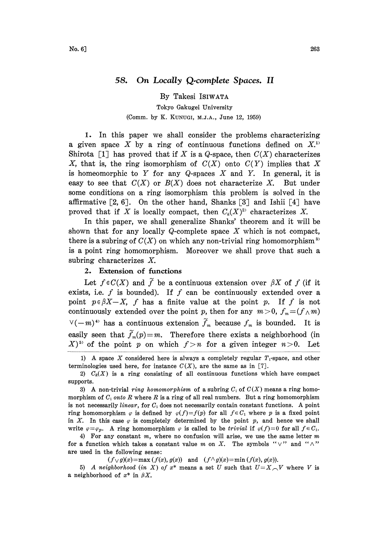## 58. On Locally Q.complete Spaces. II

By Takesi ISIWATA Tokyo Gakugei University (Comm. by K. KUNUGI, M.J.A., June 12, 1959)

1. In this paper we shall consider the problems characterizing a given space X by a ring of continuous functions defined on  $X<sup>1</sup>$ Shirota [1] has proved that if X is a Q-space, then  $C(X)$  characterizes X, that is, the ring isomorphism of  $C(X)$  onto  $C(Y)$  implies that X is homeomorphic to Y for any Q-spaces X and Y. In general, it is easy to see that  $C(X)$  or  $B(X)$  does not characterize X. But under some conditions on a ring isomorphism this problem is solved in the affirmative  $[2, 6]$ . On the other hand, Shanks  $[3]$  and Ishii  $[4]$  have proved that if X is locally compact, then  $C_k(X)^{2}$  characterizes X.

In this paper, we shall generalize Shanks' theorem and it will be shown that for any locally Q-complete space X which is not compact, there is a subring of  $C(X)$  on which any non-trivial ring homomorphism<sup>3</sup> is a point ring homomorphism. Moreover we shall prove that such a subring characterizes X.

## 2. Extension of functions

Let  $f \in C(X)$  and  $\tilde{f}$  be a continuous extension over  $\beta X$  of f (if it exists, i.e.  $f$  is bounded). If  $f$  can be continuously extended over a point  $p \in \beta X-X$ , f has a finite value at the point p. If f is not continuously extended over the point p, then for any  $m>0$ ,  $f_m=(f\wedge m)$  $\vee(-m)^{4}$  has a continuous extension  $\widetilde{f}_m$  because  $f_m$  is bounded. It is easily seen that  $\widetilde{f}_m(p)=m$ . Therefore there exists a neighborhood (in  $(X)^{5}$  of the point p on which  $f>n$  for a given integer  $n>0$ . Let

4) For any constant  $m$ , where no confusion will arise, we use the same letter  $m$ for a function which takes a constant value m on X. The symbols " $\vee$ " and " $\wedge$ " are used in the following sense:

 $(f\vee g)(x)=\max (f(x), g(x))$  and  $(f\wedge g)(x)=\min (f(x), g(x)).$ 

5) A neighborhood (in X) of  $x^*$  means a set U such that  $U=X\_{V}$  where V is a neighborhood of  $x^*$  in  $\beta X$ .

<sup>1)</sup> A space X considered here is always a completely regular  $T_1$ -space, and other terminologies used here, for instance  $C(X)$ , are the same as in [7].

<sup>2)</sup>  $C_k(X)$  is a ring consisting of all continuous functions which have compact supports.

<sup>3)</sup> A non-trivial ring homomorphism of a subring  $C_1$  of  $C(X)$  means a ring homomorphism of  $C_1$  onto R where R is a ring of all real numbers. But a ring homomorphism is not necessarily linear, for  $C_1$  does not necessarily contain constant functions. A point ring homomorphism  $\varphi$  is defined by  $\varphi(f)=f(p)$  for all  $f\in\mathcal{C}_1$  where p is a fixed point in X. In this case  $\varphi$  is completely determined by the point p, and hence we shall write  $\varphi = \varphi_p$ . A ring homomorphism  $\varphi$  is called to be trivial if  $\varphi(f)=0$  for all  $f \in C_1$ .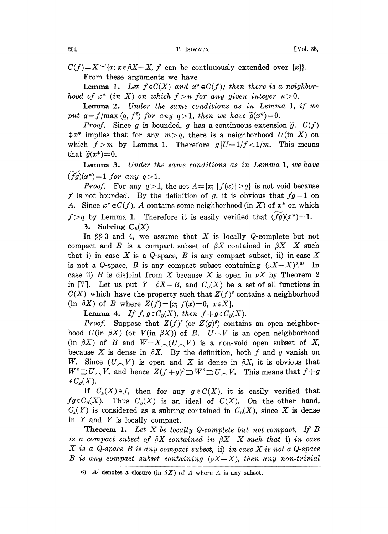$C(f)=X^{\vee}[x; x\in \beta X-X, f$  can be continuously extended over  $\{x\}$ . From these arguments we have

**Lemma 1.** Let  $f \in C(X)$  and  $x^* \notin C(f)$ ; then there is a neighborhood of  $x^*$  (in X) on which  $f > n$  for any given integer  $n > 0$ .

Lemma 2. Under the same conditions as in Lemma 1, if we put  $g=f/\max(q, f^2)$  for any  $q>1$ , then we have  $\tilde{g}(x^*)=0$ .

*Proof.* Since g is bounded, g has a continuous extension  $\tilde{g}$ .  $C(f)$  $\Rightarrow x^*$  implies that for any  $m > q$ , there is a neighborhood  $U$ (in X) on which  $f>m$  by Lemma 1. Therefore  $g|U=1/f<1/m$ . This means that  $\widetilde{g}(x^*)=0$ .

Lemma 3. Under the same conditions as in Lemma 1, we have  $(fg)(x^*)=1$  for any  $q>1$ .

*Proof.* For any  $q>1$ , the set  $A = \{x; |f(x)| \geq q\}$  is not void because f is not bounded. By the definition of g, it is obvious that  $fg=1$  on A. Since  $x^* \notin C(f)$ , A contains some neighborhood (in X) of  $x^*$  on which  $f>q$  by Lemma 1. Therefore it is easily verified that  $(fg)(x^*)=1$ .

3. Subring  $C_B(X)$ 

In  $\S$  3 and 4, we assume that X is locally Q-complete but not compact and B is a compact subset of  $\beta X$  contained in  $\beta X-X$  such that i) in case X is a Q-space, B is any compact subset, ii) in case X is not a Q-space, B is any compact subset containing  $(\nu X-X)^{\beta}$ .<sup>6</sup> In case ii) B is disjoint from X because X is open in  $\nu X$  by Theorem 2 in [7]. Let us put  $Y = \beta X - B$ , and  $C_{\beta}(X)$  be a set of all functions in  $C(X)$  which have the property such that  $Z(f)^{\beta}$  contains a neighborhood (in  $\beta X$ ) of B where  $Z(f) = \{x; f(x) = 0, x \in X\}.$ 

**Lemma 4.** If  $f, g \in C_B(X)$ , then  $f + g \in C_B(X)$ .

**Lemma 4.** If  $f, g \in C_B(X)$ , then  $f + g \in C_B(X)$ .<br> *Proof.* Suppose that  $Z(f)^{\beta}$  (or  $Z(g)^{\beta}$ ) contains an open neighborhood  $U(\text{in } \beta X)$  (or  $V(\text{in } \beta X)$ ) of B.  $U \cap V$  is an open neighborhood (in  $\beta X$ ) of B and  $W = Y$  (*U* V *Proof.* Suppose that  $Z(f)^{\beta}$  (or  $Z(g)^{\beta}$ ) contains an open neighbor-(in  $\beta X$ ) of B and  $W=X_{\frown}(U\frown V)$  is a non-void open subset of X, because X is dense in  $\beta X$ . By the definition, both f and g vanish on W. Since  $(U, V)$  is open and X is dense in  $\beta X$ , it is obvious that  $W^{\beta} \supset U \subset V$ , and hence  $Z(f+g)^{\beta} \supset W^{\beta} \supset U \subset V$ . This means that  $f+g \in C_B(X)$ .

If  $C_B(X) \ni f$ , then for any  $g \in C(X)$ , it is easily verified that  $fg \in C_B(X)$ . Thus  $C_B(X)$  is an ideal of  $C(X)$ . On the other hand,  $C_k(Y)$  is considered as a subring contained in  $C_k(X)$ , since X is dense in Y and Y is locally compact.

**Theorem 1.** Let  $X$  be locally Q-complete but not compact. If  $B$ is a compact subset of  $\beta X$  contained in  $\beta X-X$  such that i) in case X is <sup>a</sup> Q-space B is any compact subset, ii) in case X is not <sup>a</sup> Q-space B is any compact subset containing  $(xX-X)$ , then any non-trivial

<sup>6)</sup>  $A^{\beta}$  denotes a closure (in  $\beta X$ ) of A where A is any subset.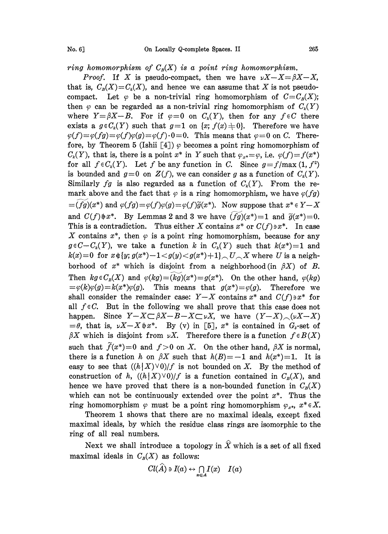ring homomorphism of  $C_B(X)$  is a point ring homomorphism.

*Proof.* If X is pseudo-compact, then we have  $\nu X - X = \beta X - X$ , that is,  $C_R(X) = C_k(X)$ , and hence we can assume that X is not pseudocompact. Let  $\varphi$  be a non-trivial ring homomorphism of  $C=C_B(X);$ then  $\varphi$  can be regarded as a non-trivial ring homomorphism of  $C_k(Y)$ where  $Y=\beta X-B$ . For if  $\varphi=0$  on  $C_k(Y)$ , then for any  $f \in C$  there exists a  $g \in C_k(Y)$  such that  $g=1$  on  $\{x; f(x)\neq 0\}$ . Therefore we have  $\varphi(f) = \varphi(f)g = \varphi(f)\varphi(g) = \varphi(f) \cdot 0 = 0$ . This means that  $\varphi = 0$  on C. Therefore, by Theorem 5 (Ishii [4])  $\varphi$  becomes a point ring homomorphism of  $C_k(Y)$ , that is, there is a point  $x^*$  in Y such that  $\varphi_{x^*} = \varphi$ , i.e.  $\varphi(f) = f(x^*)$ for all  $f \in C_k(Y)$ . Let f be any function in C. Since  $g = f/\max(1, f^2)$ is bounded and  $g=0$  on  $Z(f)$ , we can consider g as a function of  $C_k(Y)$ . Similarly fg is also regarded as a function of  $C_k(Y)$ . From the remark above and the fact that  $\varphi$  is a ring homomorphism, we have  $\varphi(fg)$  $=(fg)(x^*)$  and  $\varphi(fg)=\varphi(f)\varphi(g)=\varphi(f)\widetilde{g}(x^*)$ . Now suppose that  $x^*\in Y-X$ and  $C(f) \neq x^*$ . By Lemmas 2 and 3 we have  $(f\overline{g})(x^*)=1$  and  $\overline{g}(x^*)=0$ . This is a contradiction. Thus either X contains  $x^*$  or  $C(f) \ni x^*$ . In case X contains  $x^*$ , then  $\varphi$  is a point ring homomorphism, because for any  $g \in C-C_k(Y)$ , we take a function k in  $C_k(Y)$  such that  $k(x^*)=1$  and  $k(x)=0$  for  $x {\mathop{\scriptstyle\mathop{\scriptstyle\mathop{\scriptstyle\mathop{\scriptstyle\mathop{\scriptstyle\mathop{\scriptstyle\mathop{\scriptstyle\mathop{\scriptstyle\mathop{\scriptstyle\mathop{\scriptstyle\mathop{\scriptstyle\mathop{\scriptstyle\mathop{\scriptstyle\mathop{\scriptstyle\mathop{\scriptstyle\mathop{\scriptstyle\mathop{\scriptstyle\mathop{\scriptstyle\mathop{\scriptstyle\mathop{\scriptstyle\mathop{\scriptstyle\mathop{\scriptstyle\mathop{\scriptstyle\mathop{\scriptstyle\mathop{\scriptstyle\mathop{\scriptstyle\mathop{\scriptstyle\mathop{\scriptstyle\mathop{\scriptstyle\mathop{\scriptstyle\mathop{\scriptstyle\mathop{\scriptstyle\mathop{\scriptstyle\mathop{\scriptstyle\mathop{\$ borhood of  $x^*$  which is disjoint from a neighborhood (in  $\beta X$ ) of B. Then  $kg \in C_B(X)$  and  $\varphi(kg)=(kg)(x^*)=g(x^*)$ . On the other hand,  $\varphi(kg)$  $=\varphi(k)\varphi(g)=k(x^*)\varphi(g)$ . This means that  $g(x^*)=\varphi(g)$ . Therefore we shall consider the remainder case:  $Y-X$  contains  $x^*$  and  $C(f)\ni x^*$  for all  $f \in C$ . But in the following we shall prove that this case does not happen. Since  $Y-X \subset \beta X-B-X \subset \nu X$ , we have  $(Y-X) \subset (\nu X-X)^2$  $=\theta$ , that is,  $\nu X-X\neq x^*$ . By (v) in [5],  $x^*$  is contained in  $G_{\delta}$ -set of  $\beta X$  which is disjoint from  $\nu X$ . Therefore there is a function  $f \in B(X)$ such that  $\tilde{f}(x^*)=0$  and  $f>0$  on X. On the other hand,  $\beta X$  is normal, there is a function h on  $\beta X$  such that  $h(B)=-1$  and  $h(x^*)=1$ . It is easy to see that  $((h|X) \vee 0)/f$  is not bounded on X. By the method of construction of h,  $((h|X) \vee 0)/f$  is a function contained in  $C_R(X)$ , and hence we have proved that there is a non-bounded function in  $C_R(X)$ which can not be continuously extended over the point  $x^*$ . Thus the ring homomorphism  $\varphi$  must be a point ring homomorphism  $\varphi_{x^*}$ ,  $x^* \in X$ .

Theorem 1 shows that there are no maximal ideals, except fixed maximal ideals, by which the residue class rings are isomorphic to the ring of all real numbers.

Next we shall introduce a topology in  $\hat{X}$  which is a set of all fixed maximal ideals in  $C_R(X)$  as follows:

$$
Cl(\widehat{A})\ni I(a)\leftrightarrow \bigcap_{x\in A}I(x)\quad I(a)
$$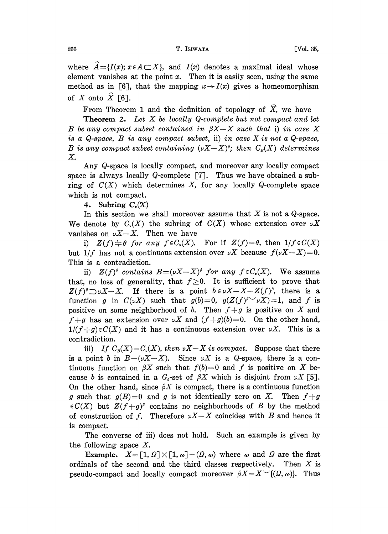where  $A=$ -{I(x);  $x \in A \subset X$ }, and I(x) denotes a maximal ideal whose element vanishes at the point  $x$ . Then it is easily seen, using the same method as in [6], that the mapping  $x \rightarrow I(x)$  gives a homeomorphism of X onto  $\hat{X}$  [6].

From Theorem 1 and the definition of topology of  $\hat{X}$ , we have

**Theorem 2.** Let  $X$  be locally Q-complete but not compact and let B be any compact subset contained in  $\beta X-X$  such that i) in case X is a Q-space,  $B$  is any compact subset, ii) in case  $X$  is not a Q-space, B is any compact subset containing  $(\nu X-X)^{\beta}$ ; then  $C_{\beta}(X)$  determines X.

Any Q-space is locally compact, and moreover any locally compact space is always locally Q-complete  $[7]$ . Thus we have obtained a subring of  $C(X)$  which determines X, for any locally Q-complete space which is not compact.

4. Subring  $C_\nu(X)$ 

In this section we shall moreover assume that  $X$  is not a  $Q$ -space. We denote by  $C_v(X)$  the subring of  $C(X)$  whose extension over  $\nu X$ vanishes on  $\nu X-X$ . Then we have

i)  $Z(f) \neq \theta$  for any  $f \in C_r(X)$ . For if  $Z(f) = \theta$ , then  $1/f \in C(X)$ but  $1/f$  has not a continuous extension over  $\nu X$  because  $f(\nu X-X)=0$ . This is a contradiction.

ii)  $Z(f)^{\beta}$  contains  $B = (\nu X - X)^{\beta}$  for any  $f \in C_{\nu}(X)$ . We assume that, no loss of generality, that  $f\geq 0$ . It is sufficient to prove that  $Z(f)^{\beta} \supset \nu X-X$ . If there is a point  $b \in \nu X-X-Z(f)^{\beta}$ , there is a function g in  $C(\nu X)$  such that  $g(b)=0$ ,  $g(Z(f)^{s\vee}\nu X)=1$ , and f is positive on some neighborhood of b. Then  $f+g$  is positive on X and  $f+g$  has an extension over  $\nu X$  and  $(f+g)(b)=0$ . On the other hand,  $1/(f+g) \in C(X)$  and it has a continuous extension over  $\nu X$ . This is a contradiction.

iii) If  $C_p(X) = C_p(X)$ , then  $\nu X - X$  is compact. Suppose that there is a point b in  $B-(\nu X-X)$ . Since  $\nu X$  is a Q-space, there is a continuous function on  $\beta X$  such that  $f(b)=0$  and f is positive on X because b is contained in a  $G_s$ -set of  $\beta X$  which is disjoint from  $\nu X$  [5]. On the other hand, since  $\beta X$  is compact, there is a continuous function g such that  $g(B)=0$  and g is not identically zero on X. Then  $f+g$  $\in C(X)$  but  $Z(f+g)^{\beta}$  contains no neighborhoods of B by the method of construction of f. Therefore  $\nu X-X$  coincides with B and hence it is compact.

The converse of iii) does not hold. Such an example is given by the following space X.

**Example.**  $X = [1, \Omega] \times [1, \omega] - (\Omega, \omega)$  where  $\omega$  and  $\Omega$  are the first nals of the second and the third classes respectively. Then X is ordinals of the second and the third classes respectively. pseudo-compact and locally compact moreover  $\beta X=X^{\vee}(\Omega,\omega)$ . Thus